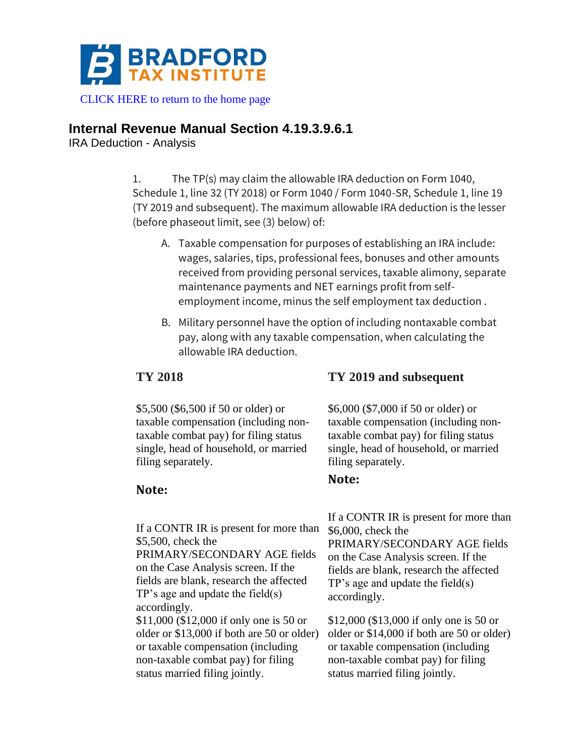

[CLICK HERE to return to the home page](https://bradfordtaxinstitute.com)

## **Internal Revenue Manual Section 4.19.3.9.6.1**

IRA Deduction - Analysis

1. The TP(s) may claim the allowable IRA deduction on Form 1040, Schedule 1, line 32 (TY 2018) or Form 1040 / Form 1040-SR, Schedule 1, line 19 (TY 2019 and subsequent). The maximum allowable IRA deduction is the lesser (before phaseout limit, see (3) below) of:

- A. Taxable compensation for purposes of establishing an IRA include: wages, salaries, tips, professional fees, bonuses and other amounts received from providing personal services, taxable alimony, separate maintenance payments and NET earnings profit from selfemployment income, minus the self employment tax deduction .
- B. Military personnel have the option of including nontaxable combat pay, along with any taxable compensation, when calculating the allowable IRA deduction.

\$5,500 (\$6,500 if 50 or older) or taxable compensation (including nontaxable combat pay) for filing status single, head of household, or married filing separately.

### **Note:**

If a CONTR IR is present for more than \$5,500, check the PRIMARY/SECONDARY AGE fields on the Case Analysis screen. If the fields are blank, research the affected TP's age and update the field(s) accordingly. \$11,000 (\$12,000 if only one is 50 or older or \$13,000 if both are 50 or older) or taxable compensation (including non-taxable combat pay) for filing

status married filing jointly.

# **TY 2018 TY 2019 and subsequent**

\$6,000 (\$7,000 if 50 or older) or taxable compensation (including nontaxable combat pay) for filing status single, head of household, or married filing separately.

### **Note:**

If a CONTR IR is present for more than \$6,000, check the PRIMARY/SECONDARY AGE fields on the Case Analysis screen. If the fields are blank, research the affected TP's age and update the field(s) accordingly.

\$12,000 (\$13,000 if only one is 50 or older or \$14,000 if both are 50 or older) or taxable compensation (including non-taxable combat pay) for filing status married filing jointly.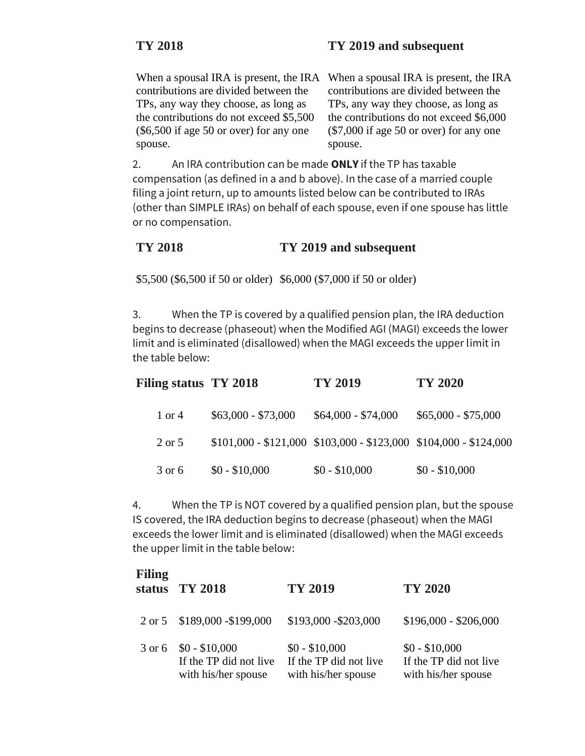contributions are divided between the TPs, any way they choose, as long as the contributions do not exceed \$5,500 (\$6,500 if age 50 or over) for any one spouse.

When a spousal IRA is present, the IRA When a spousal IRA is present, the IRA contributions are divided between the TPs, any way they choose, as long as the contributions do not exceed \$6,000 (\$7,000 if age 50 or over) for any one spouse.

2. An IRA contribution can be made **ONLY** if the TP has taxable compensation (as defined in a and b above). In the case of a married couple filing a joint return, up to amounts listed below can be contributed to IRAs (other than SIMPLE IRAs) on behalf of each spouse, even if one spouse has little or no compensation.

# **TY 2018 TY 2019 and subsequent**

\$5,500 (\$6,500 if 50 or older) \$6,000 (\$7,000 if 50 or older)

3. When the TP is covered by a qualified pension plan, the IRA deduction begins to decrease (phaseout) when the Modified AGI (MAGI) exceeds the lower limit and is eliminated (disallowed) when the MAGI exceeds the upper limit in the table below:

| Filing status TY 2018 |                     | TY 2019                                                           | TY 2020             |
|-----------------------|---------------------|-------------------------------------------------------------------|---------------------|
| 1 or 4                | $$63,000 - $73,000$ | $$64,000 - $74,000$                                               | $$65,000 - $75,000$ |
| $2 \text{ or } 5$     |                     | $$101,000 - $121,000$ $$103,000 - $123,000$ $$104,000 - $124,000$ |                     |
| 3 or 6                | $$0 - $10,000$      | $$0 - $10,000$                                                    | $$0 - $10,000$      |

4. When the TP is NOT covered by a qualified pension plan, but the spouse IS covered, the IRA deduction begins to decrease (phaseout) when the MAGI exceeds the lower limit and is eliminated (disallowed) when the MAGI exceeds the upper limit in the table below:

| Filing<br>status | <b>TY 2018</b>                                                  | TY 2019                                                         | TY 2020                                                         |
|------------------|-----------------------------------------------------------------|-----------------------------------------------------------------|-----------------------------------------------------------------|
|                  | 2 or 5 \$189,000 - \$199,000                                    | \$193,000 - \$203,000                                           | $$196,000 - $206,000$                                           |
| 3 or 6           | $$0 - $10,000$<br>If the TP did not live<br>with his/her spouse | $$0 - $10,000$<br>If the TP did not live<br>with his/her spouse | $$0 - $10,000$<br>If the TP did not live<br>with his/her spouse |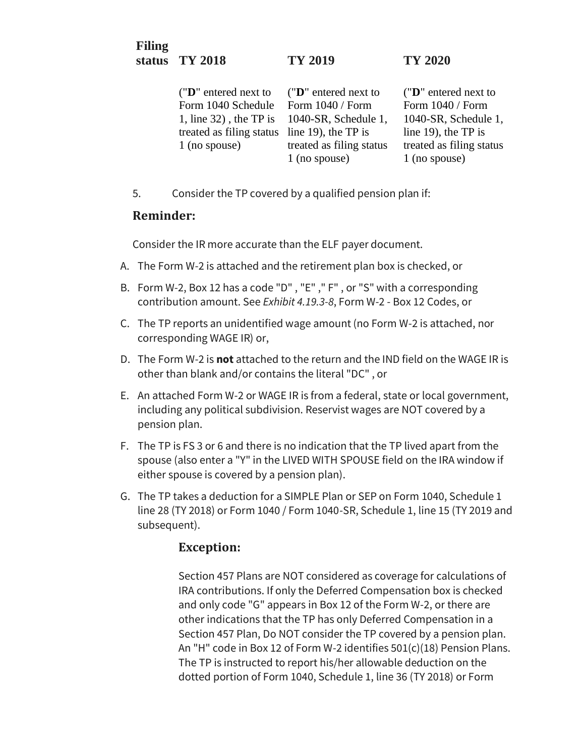## **Filing status TY 2018 TY 2019 TY 2020**

("**D**" entered next to Form 1040 Schedule 1, line 32) , the TP is 1040-SR, Schedule 1, treated as filing status line 19), the TP is 1 (no spouse) ("**D**" entered next to Form 1040 / Form treated as filing status 1 (no spouse)

("**D**" entered next to Form 1040 / Form 1040-SR, Schedule 1, line 19), the TP is treated as filing status 1 (no spouse)

5. Consider the TP covered by a qualified pension plan if:

### **Reminder:**

Consider the IR more accurate than the ELF payer document.

- A. The Form W-2 is attached and the retirement plan box is checked, or
- B. Form W-2, Box 12 has a code "D" , "E" ," F" , or "S" with a corresponding contribution amount. See *Exhibit 4.19.3-8*, Form W-2 - Box 12 Codes, or
- C. The TP reports an unidentified wage amount (no Form W-2 is attached, nor corresponding WAGE IR) or,
- D. The Form W-2 is **not** attached to the return and the IND field on the WAGE IR is other than blank and/or contains the literal "DC" , or
- E. An attached Form W-2 or WAGE IR is from a federal, state or local government, including any political subdivision. Reservist wages are NOT covered by a pension plan.
- F. The TP is FS 3 or 6 and there is no indication that the TP lived apart from the spouse (also enter a "Y" in the LIVED WITH SPOUSE field on the IRA window if either spouse is covered by a pension plan).
- G. The TP takes a deduction for a SIMPLE Plan or SEP on Form 1040, Schedule 1 line 28 (TY 2018) or Form 1040 / Form 1040-SR, Schedule 1, line 15 (TY 2019 and subsequent).

# **Exception:**

Section 457 Plans are NOT considered as coverage for calculations of IRA contributions. If only the Deferred Compensation box is checked and only code "G" appears in Box 12 of the Form W-2, or there are other indications that the TP has only Deferred Compensation in a Section 457 Plan, Do NOT consider the TP covered by a pension plan. An "H" code in Box 12 of Form W-2 identifies 501(c)(18) Pension Plans. The TP is instructed to report his/her allowable deduction on the dotted portion of Form 1040, Schedule 1, line 36 (TY 2018) or Form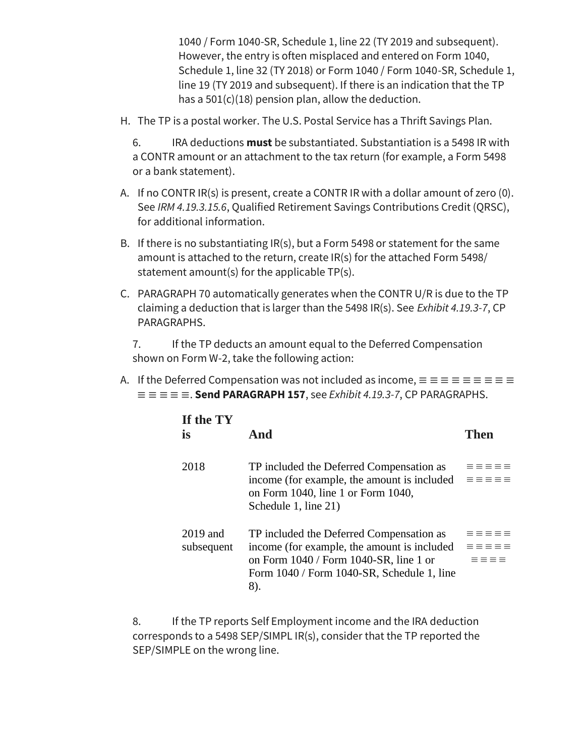1040 / Form 1040-SR, Schedule 1, line 22 (TY 2019 and subsequent). However, the entry is often misplaced and entered on Form 1040, Schedule 1, line 32 (TY 2018) or Form 1040 / Form 1040-SR, Schedule 1, line 19 (TY 2019 and subsequent). If there is an indication that the TP has a  $501(c)(18)$  pension plan, allow the deduction.

H. The TP is a postal worker. The U.S. Postal Service has a Thrift Savings Plan.

6. IRA deductions **must** be substantiated. Substantiation is a 5498 IR with a CONTR amount or an attachment to the tax return (for example, a Form 5498 or a bank statement).

- A. If no CONTR IR(s) is present, create a CONTR IR with a dollar amount of zero (0). See *IRM 4.19.3.15.6*, Qualified Retirement Savings Contributions Credit (QRSC), for additional information.
- B. If there is no substantiating IR(s), but a Form 5498 or statement for the same amount is attached to the return, create IR(s) for the attached Form 5498/ statement amount(s) for the applicable TP(s).
- C. PARAGRAPH 70 automatically generates when the CONTR U/R is due to the TP claiming a deduction that is larger than the 5498 IR(s). See *Exhibit 4.19.3-7*, CP PARAGRAPHS.

7. If the TP deducts an amount equal to the Deferred Compensation shown on Form W-2, take the following action:

A. If the Deferred Compensation was not included as income, ≡ ≡ ≡ ≡ ≡ ≡ ≡ ≡ ≡  $\equiv \equiv \equiv \equiv$ **. Send PARAGRAPH 157**, see *Exhibit 4.19.3-7*, CP PARAGRAPHS.

| If the TY<br><b>is</b>   | And                                                                                                                                                                                    | Then                               |
|--------------------------|----------------------------------------------------------------------------------------------------------------------------------------------------------------------------------------|------------------------------------|
| 2018                     | TP included the Deferred Compensation as<br>income (for example, the amount is included<br>on Form 1040, line 1 or Form 1040,<br>Schedule 1, line 21)                                  | $=$ $=$ $=$ $=$                    |
| $2019$ and<br>subsequent | TP included the Deferred Compensation as<br>income (for example, the amount is included<br>on Form 1040 / Form 1040-SR, line 1 or<br>Form 1040 / Form 1040-SR, Schedule 1, line<br>8). | $=$ $=$ $=$ $=$<br>$=$ $=$ $=$ $=$ |

8. If the TP reports Self Employment income and the IRA deduction corresponds to a 5498 SEP/SIMPL IR(s), consider that the TP reported the SEP/SIMPLE on the wrong line.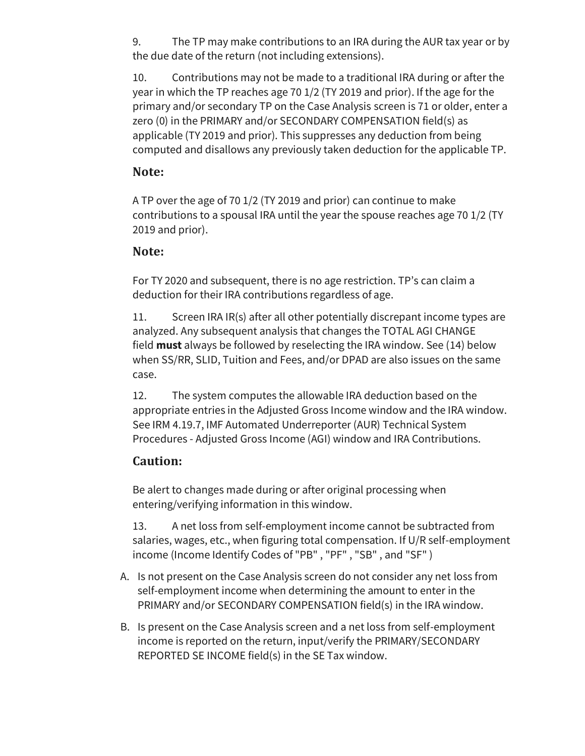9. The TP may make contributions to an IRA during the AUR tax year or by the due date of the return (not including extensions).

10. Contributions may not be made to a traditional IRA during or after the year in which the TP reaches age 70 1/2 (TY 2019 and prior). If the age for the primary and/or secondary TP on the Case Analysis screen is 71 or older, enter a zero (0) in the PRIMARY and/or SECONDARY COMPENSATION field(s) as applicable (TY 2019 and prior). This suppresses any deduction from being computed and disallows any previously taken deduction for the applicable TP.

# **Note:**

A TP over the age of 70 1/2 (TY 2019 and prior) can continue to make contributions to a spousal IRA until the year the spouse reaches age 70 1/2 (TY 2019 and prior).

## **Note:**

For TY 2020 and subsequent, there is no age restriction. TP's can claim a deduction for their IRA contributions regardless of age.

11. Screen IRA IR(s) after all other potentially discrepant income types are analyzed. Any subsequent analysis that changes the TOTAL AGI CHANGE field **must** always be followed by reselecting the IRA window. See (14) below when SS/RR, SLID, Tuition and Fees, and/or DPAD are also issues on the same case.

12. The system computes the allowable IRA deduction based on the appropriate entries in the Adjusted Gross Income window and the IRA window. See IRM 4.19.7, IMF Automated Underreporter (AUR) Technical System Procedures - Adjusted Gross Income (AGI) window and IRA Contributions.

# **Caution:**

Be alert to changes made during or after original processing when entering/verifying information in this window.

13. A net loss from self-employment income cannot be subtracted from salaries, wages, etc., when figuring total compensation. If U/R self-employment income (Income Identify Codes of "PB" , "PF" , "SB" , and "SF" )

- A. Is not present on the Case Analysis screen do not consider any net loss from self-employment income when determining the amount to enter in the PRIMARY and/or SECONDARY COMPENSATION field(s) in the IRA window.
- B. Is present on the Case Analysis screen and a net loss from self-employment income is reported on the return, input/verify the PRIMARY/SECONDARY REPORTED SE INCOME field(s) in the SE Tax window.